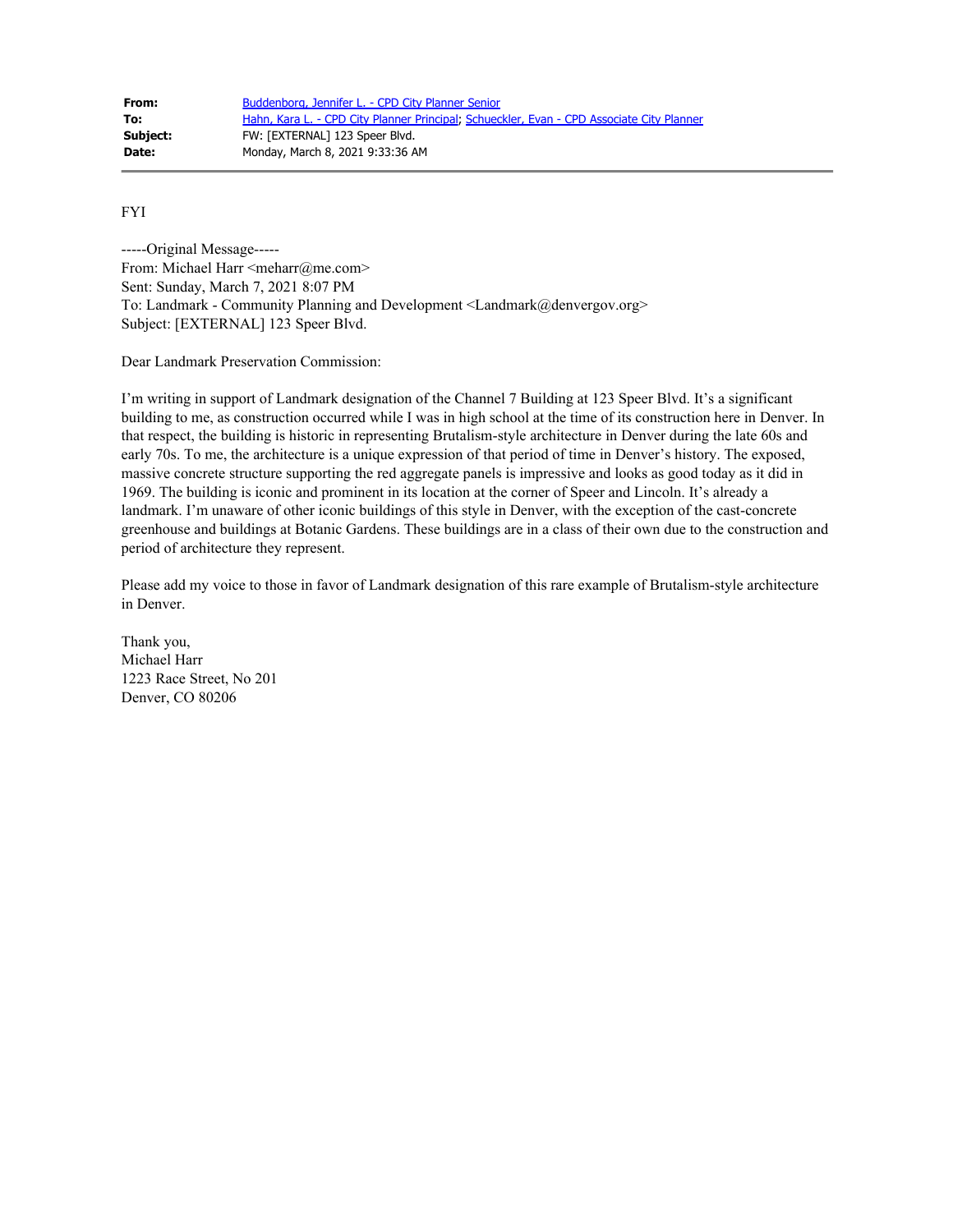| From:    | Buddenborg, Jennifer L. - CPD City Planner Senior                                         |
|----------|-------------------------------------------------------------------------------------------|
| To:      | Hahn, Kara L. - CPD City Planner Principal; Schueckler, Evan - CPD Associate City Planner |
| Subject: | FW: [EXTERNAL] 123 Speer Blvd.                                                            |
| Date:    | Monday, March 8, 2021 9:33:36 AM                                                          |

FYI

-----Original Message----- From: Michael Harr <meharr@me.com> Sent: Sunday, March 7, 2021 8:07 PM To: Landmark - Community Planning and Development <Landmark@denvergov.org> Subject: [EXTERNAL] 123 Speer Blvd.

Dear Landmark Preservation Commission:

I'm writing in support of Landmark designation of the Channel 7 Building at 123 Speer Blvd. It's a significant building to me, as construction occurred while I was in high school at the time of its construction here in Denver. In that respect, the building is historic in representing Brutalism-style architecture in Denver during the late 60s and early 70s. To me, the architecture is a unique expression of that period of time in Denver's history. The exposed, massive concrete structure supporting the red aggregate panels is impressive and looks as good today as it did in 1969. The building is iconic and prominent in its location at the corner of Speer and Lincoln. It's already a landmark. I'm unaware of other iconic buildings of this style in Denver, with the exception of the cast-concrete greenhouse and buildings at Botanic Gardens. These buildings are in a class of their own due to the construction and period of architecture they represent.

Please add my voice to those in favor of Landmark designation of this rare example of Brutalism-style architecture in Denver.

Thank you, Michael Harr 1223 Race Street, No 201 Denver, CO 80206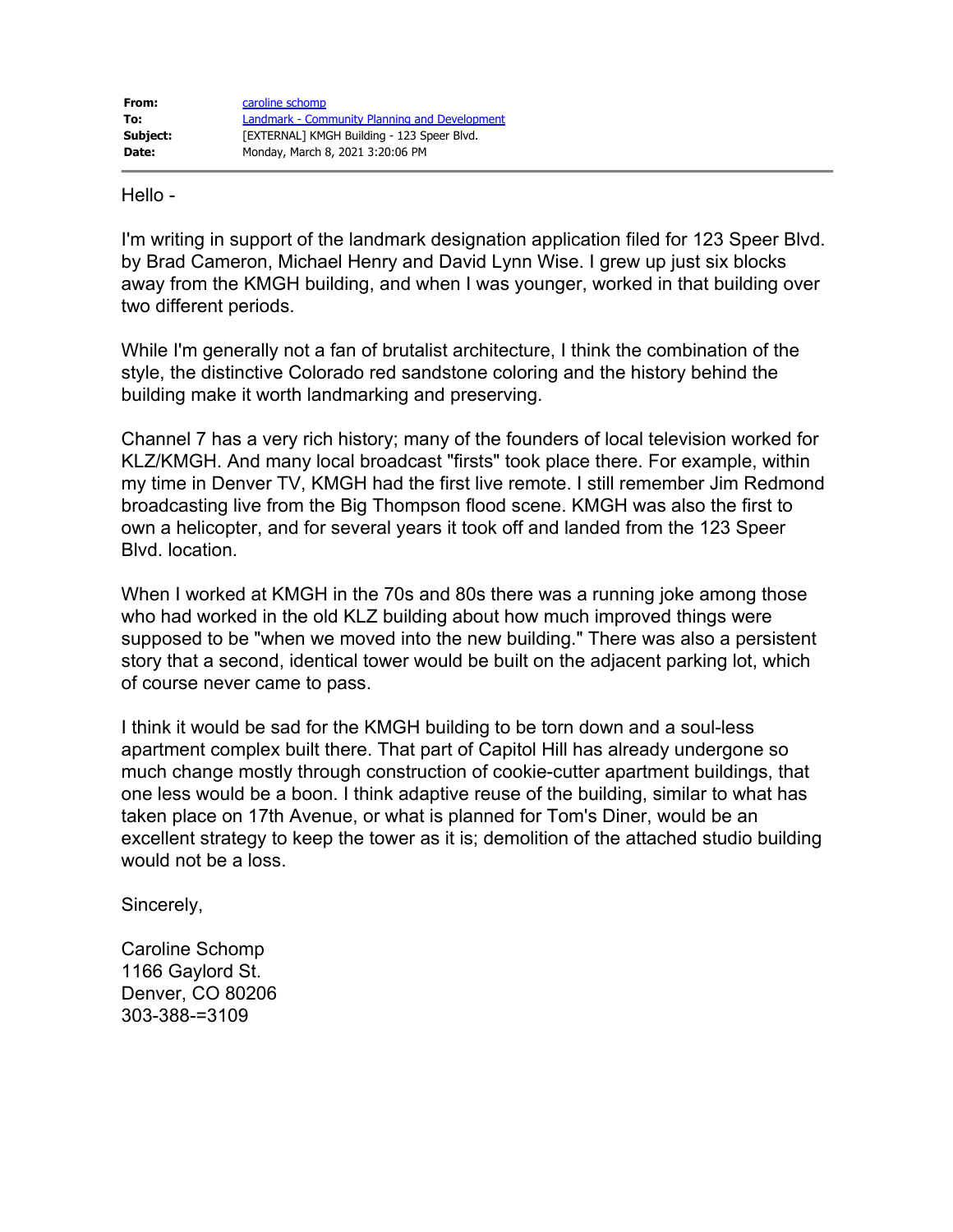Hello -

I'm writing in support of the landmark designation application filed for 123 Speer Blvd. by Brad Cameron, Michael Henry and David Lynn Wise. I grew up just six blocks away from the KMGH building, and when I was younger, worked in that building over two different periods.

While I'm generally not a fan of brutalist architecture, I think the combination of the style, the distinctive Colorado red sandstone coloring and the history behind the building make it worth landmarking and preserving.

Channel 7 has a very rich history; many of the founders of local television worked for KLZ/KMGH. And many local broadcast "firsts" took place there. For example, within my time in Denver TV, KMGH had the first live remote. I still remember Jim Redmond broadcasting live from the Big Thompson flood scene. KMGH was also the first to own a helicopter, and for several years it took off and landed from the 123 Speer Blvd. location.

When I worked at KMGH in the 70s and 80s there was a running joke among those who had worked in the old KLZ building about how much improved things were supposed to be "when we moved into the new building." There was also a persistent story that a second, identical tower would be built on the adjacent parking lot, which of course never came to pass.

I think it would be sad for the KMGH building to be torn down and a soul-less apartment complex built there. That part of Capitol Hill has already undergone so much change mostly through construction of cookie-cutter apartment buildings, that one less would be a boon. I think adaptive reuse of the building, similar to what has taken place on 17th Avenue, or what is planned for Tom's Diner, would be an excellent strategy to keep the tower as it is; demolition of the attached studio building would not be a loss.

Sincerely,

Caroline Schomp 1166 Gaylord St. Denver, CO 80206 303-388-=3109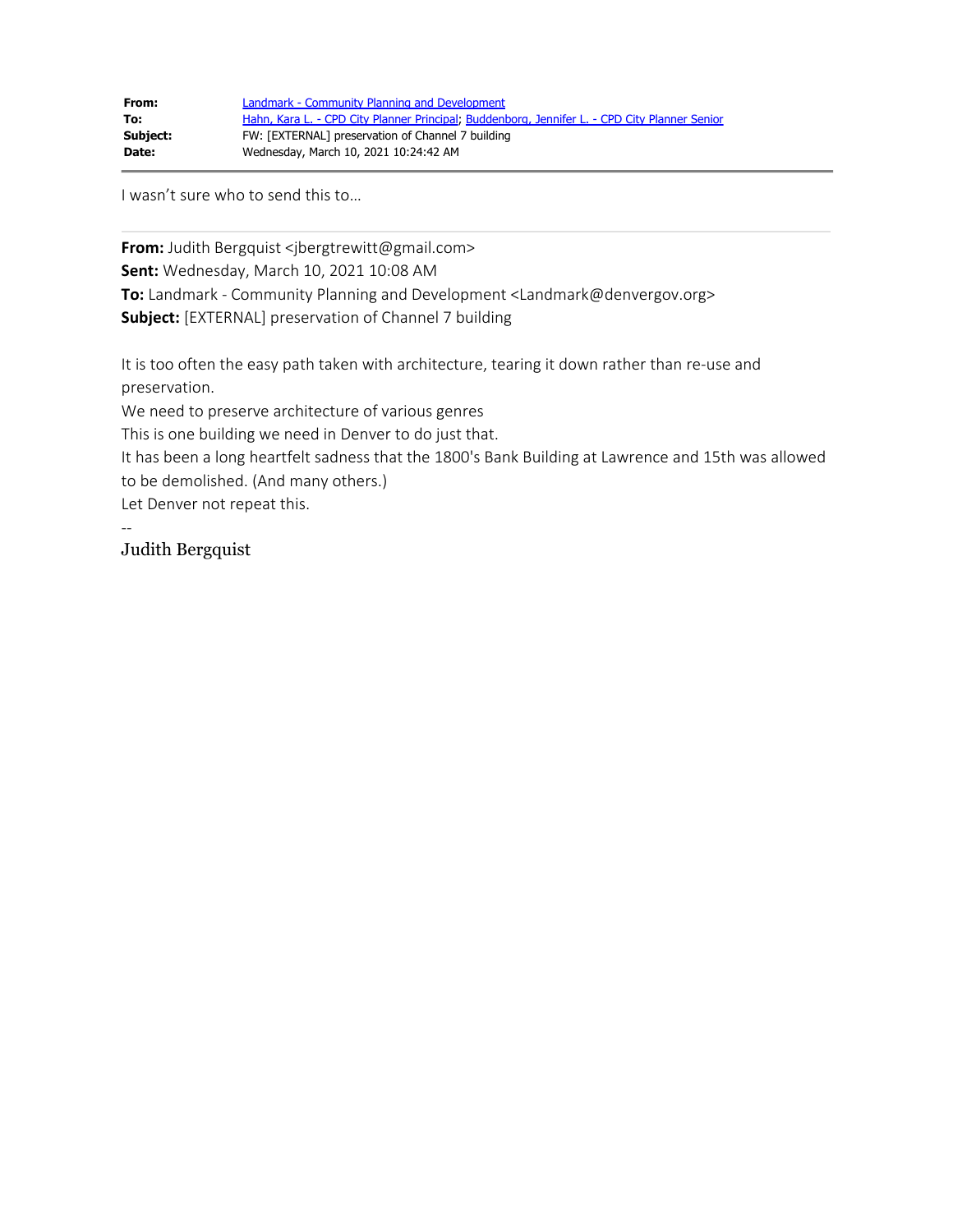| From:    | Landmark - Community Planning and Development                                                 |
|----------|-----------------------------------------------------------------------------------------------|
| To:      | Hahn, Kara L. - CPD City Planner Principal; Buddenborg, Jennifer L. - CPD City Planner Senior |
| Subject: | FW: [EXTERNAL] preservation of Channel 7 building                                             |
| Date:    | Wednesday, March 10, 2021 10:24:42 AM                                                         |

I wasn't sure who to send this to…

From: Judith Bergquist <jbergtrewitt@gmail.com> **Sent:** Wednesday, March 10, 2021 10:08 AM **To:** Landmark - Community Planning and Development <Landmark@denvergov.org> **Subject:** [EXTERNAL] preservation of Channel 7 building

It is too often the easy path taken with architecture, tearing it down rather than re-use and preservation.

We need to preserve architecture of various genres

This is one building we need in Denver to do just that.

It has been a long heartfelt sadness that the 1800's Bank Building at Lawrence and 15th was allowed to be demolished. (And many others.)

Let Denver not repeat this.

--

Judith Bergquist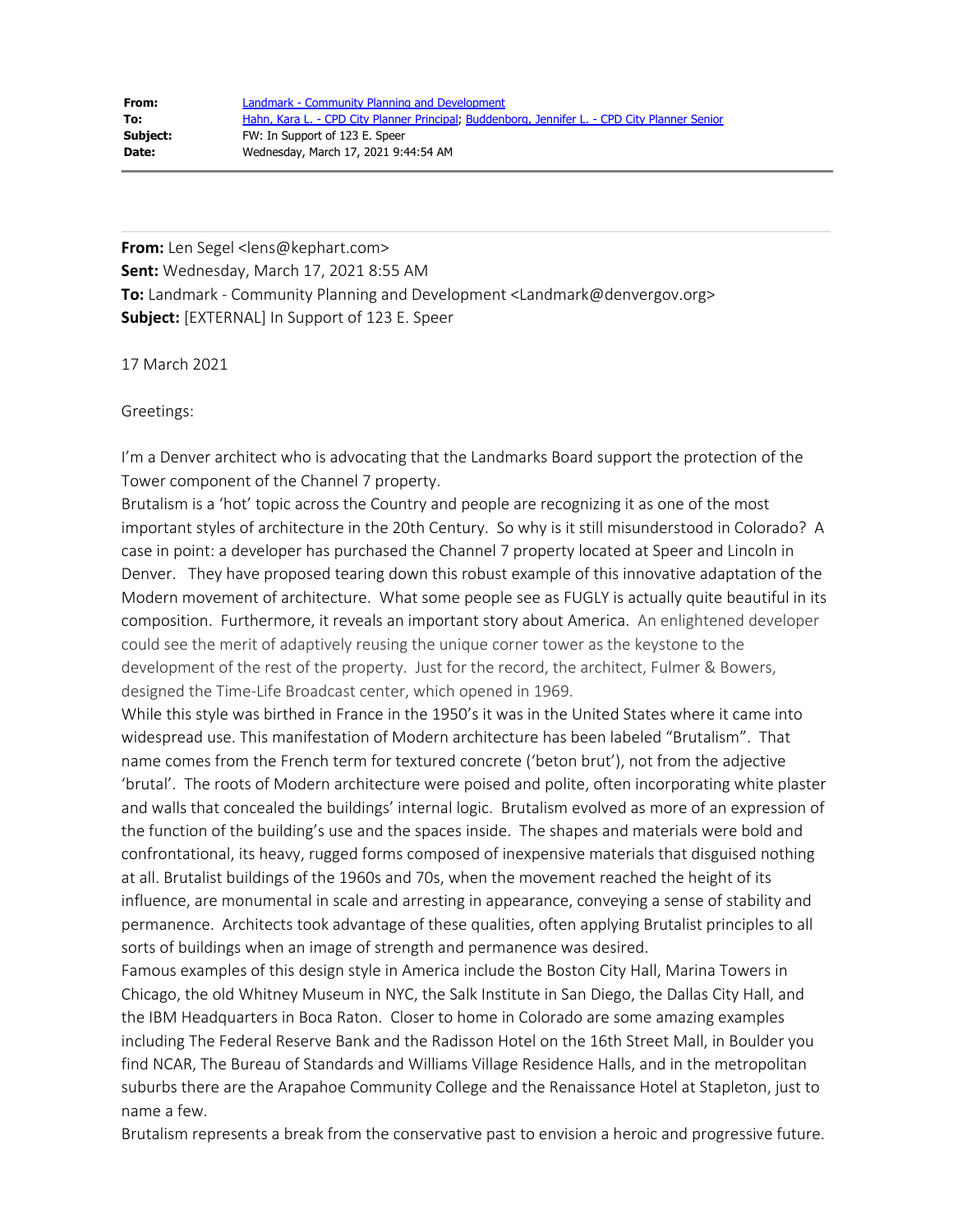**From:** Len Segel <lens@kephart.com> **Sent:** Wednesday, March 17, 2021 8:55 AM **To:** Landmark - Community Planning and Development <Landmark@denvergov.org> **Subject:** [EXTERNAL] In Support of 123 E. Speer

17 March 2021

Greetings:

I'm a Denver architect who is advocating that the Landmarks Board support the protection of the Tower component of the Channel 7 property.

Brutalism is a 'hot' topic across the Country and people are recognizing it as one of the most important styles of architecture in the 20th Century. So why is it still misunderstood in Colorado? A case in point: a developer has purchased the Channel 7 property located at Speer and Lincoln in Denver. They have proposed tearing down this robust example of this innovative adaptation of the Modern movement of architecture. What some people see as FUGLY is actually quite beautiful in its composition. Furthermore, it reveals an important story about America. An enlightened developer could see the merit of adaptively reusing the unique corner tower as the keystone to the development of the rest of the property. Just for the record, the architect, Fulmer & Bowers, designed the Time-Life Broadcast center, which opened in 1969.

While this style was birthed in France in the 1950's it was in the United States where it came into widespread use. This manifestation of Modern architecture has been labeled "Brutalism". That name comes from the French term for textured concrete ('beton brut'), not from the adjective 'brutal'. The roots of Modern architecture were poised and polite, often incorporating white plaster and walls that concealed the buildings' internal logic. Brutalism evolved as more of an expression of the function of the building's use and the spaces inside. The shapes and materials were bold and confrontational, its heavy, rugged forms composed of inexpensive materials that disguised nothing at all. Brutalist buildings of the 1960s and 70s, when the movement reached the height of its influence, are monumental in scale and arresting in appearance, conveying a sense of stability and permanence. Architects took advantage of these qualities, often applying Brutalist principles to all sorts of buildings when an image of strength and permanence was desired.

Famous examples of this design style in America include the Boston City Hall, Marina Towers in Chicago, the old Whitney Museum in NYC, the Salk Institute in San Diego, the Dallas City Hall, and the IBM Headquarters in Boca Raton. Closer to home in Colorado are some amazing examples including The Federal Reserve Bank and the Radisson Hotel on the 16th Street Mall, in Boulder you find NCAR, The Bureau of Standards and Williams Village Residence Halls, and in the metropolitan suburbs there are the Arapahoe Community College and the Renaissance Hotel at Stapleton, just to name a few.

Brutalism represents a break from the conservative past to envision a heroic and progressive future.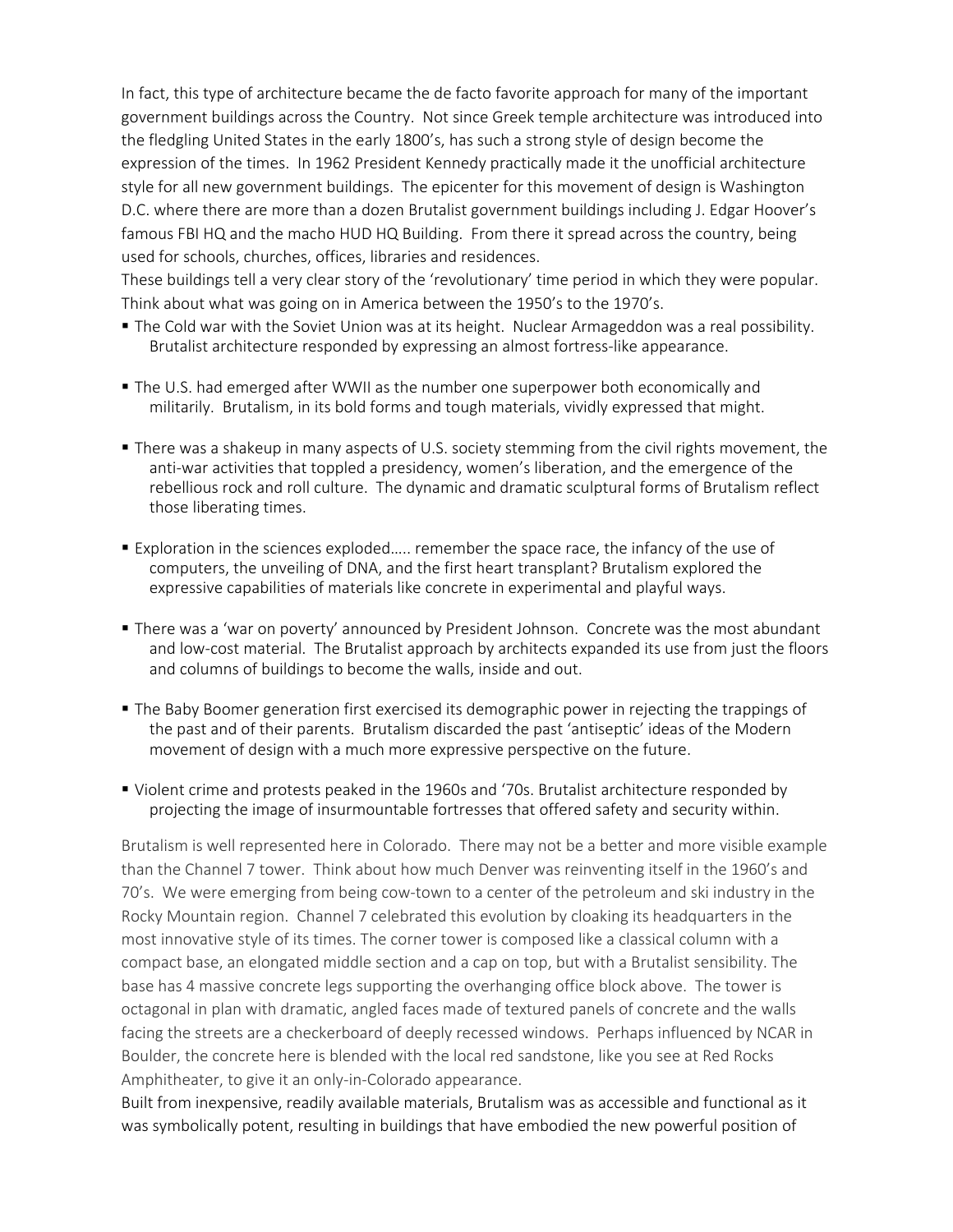In fact, this type of architecture became the de facto favorite approach for many of the important government buildings across the Country. Not since Greek temple architecture was introduced into the fledgling United States in the early 1800's, has such a strong style of design become the expression of the times. In 1962 President Kennedy practically made it the unofficial architecture style for all new government buildings. The epicenter for this movement of design is Washington D.C. where there are more than a dozen Brutalist government buildings including J. Edgar Hoover's famous FBI HQ and the macho HUD HQ Building. From there it spread across the country, being used for schools, churches, offices, libraries and residences.

These buildings tell a very clear story of the 'revolutionary' time period in which they were popular. Think about what was going on in America between the 1950's to the 1970's.

- The Cold war with the Soviet Union was at its height. Nuclear Armageddon was a real possibility. Brutalist architecture responded by expressing an almost fortress-like appearance.
- The U.S. had emerged after WWII as the number one superpower both economically and militarily. Brutalism, in its bold forms and tough materials, vividly expressed that might.
- § There was a shakeup in many aspects of U.S. society stemming from the civil rights movement, the anti-war activities that toppled a presidency, women's liberation, and the emergence of the rebellious rock and roll culture. The dynamic and dramatic sculptural forms of Brutalism reflect those liberating times.
- § Exploration in the sciences exploded….. remember the space race, the infancy of the use of computers, the unveiling of DNA, and the first heart transplant? Brutalism explored the expressive capabilities of materials like concrete in experimental and playful ways.
- There was a 'war on poverty' announced by President Johnson. Concrete was the most abundant and low-cost material. The Brutalist approach by architects expanded its use from just the floors and columns of buildings to become the walls, inside and out.
- The Baby Boomer generation first exercised its demographic power in rejecting the trappings of the past and of their parents. Brutalism discarded the past 'antiseptic' ideas of the Modern movement of design with a much more expressive perspective on the future.
- § Violent crime and protests peaked in the 1960s and '70s. Brutalist architecture responded by projecting the image of insurmountable fortresses that offered safety and security within.

Brutalism is well represented here in Colorado. There may not be a better and more visible example than the Channel 7 tower. Think about how much Denver was reinventing itself in the 1960's and 70's. We were emerging from being cow-town to a center of the petroleum and ski industry in the Rocky Mountain region. Channel 7 celebrated this evolution by cloaking its headquarters in the most innovative style of its times. The corner tower is composed like a classical column with a compact base, an elongated middle section and a cap on top, but with a Brutalist sensibility. The base has 4 massive concrete legs supporting the overhanging office block above. The tower is octagonal in plan with dramatic, angled faces made of textured panels of concrete and the walls facing the streets are a checkerboard of deeply recessed windows. Perhaps influenced by NCAR in Boulder, the concrete here is blended with the local red sandstone, like you see at Red Rocks Amphitheater, to give it an only-in-Colorado appearance.

Built from inexpensive, readily available materials, Brutalism was as accessible and functional as it was symbolically potent, resulting in buildings that have embodied the new powerful position of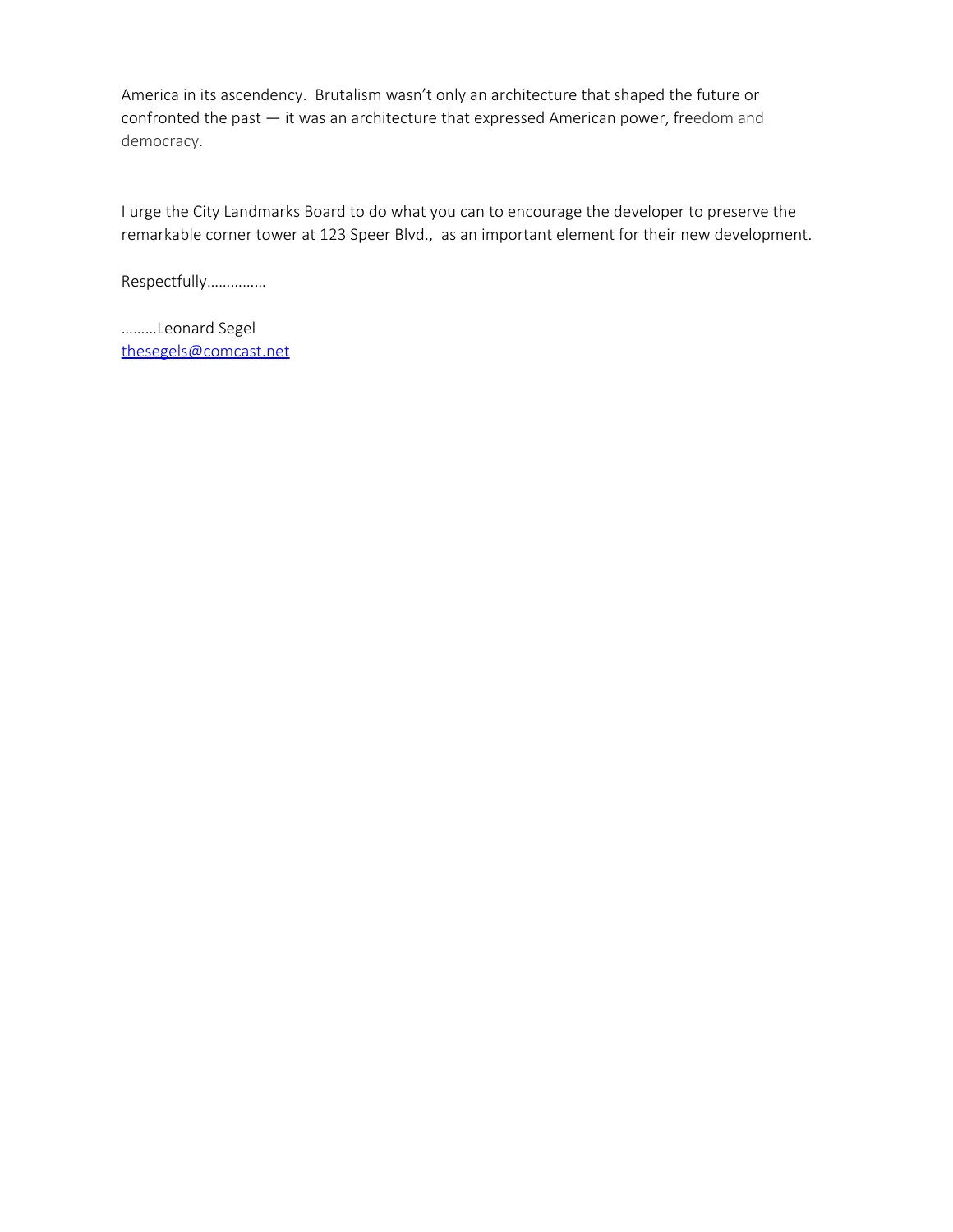America in its ascendency. Brutalism wasn't only an architecture that shaped the future or confronted the past — it was an architecture that expressed American power, freedom and democracy.

I urge the City Landmarks Board to do what you can to encourage the developer to preserve the remarkable corner tower at 123 Speer Blvd., as an important element for their new development.

Respectfully……………

………Leonard Segel [thesegels@comcast.net](mailto:thesegels@comcast.net)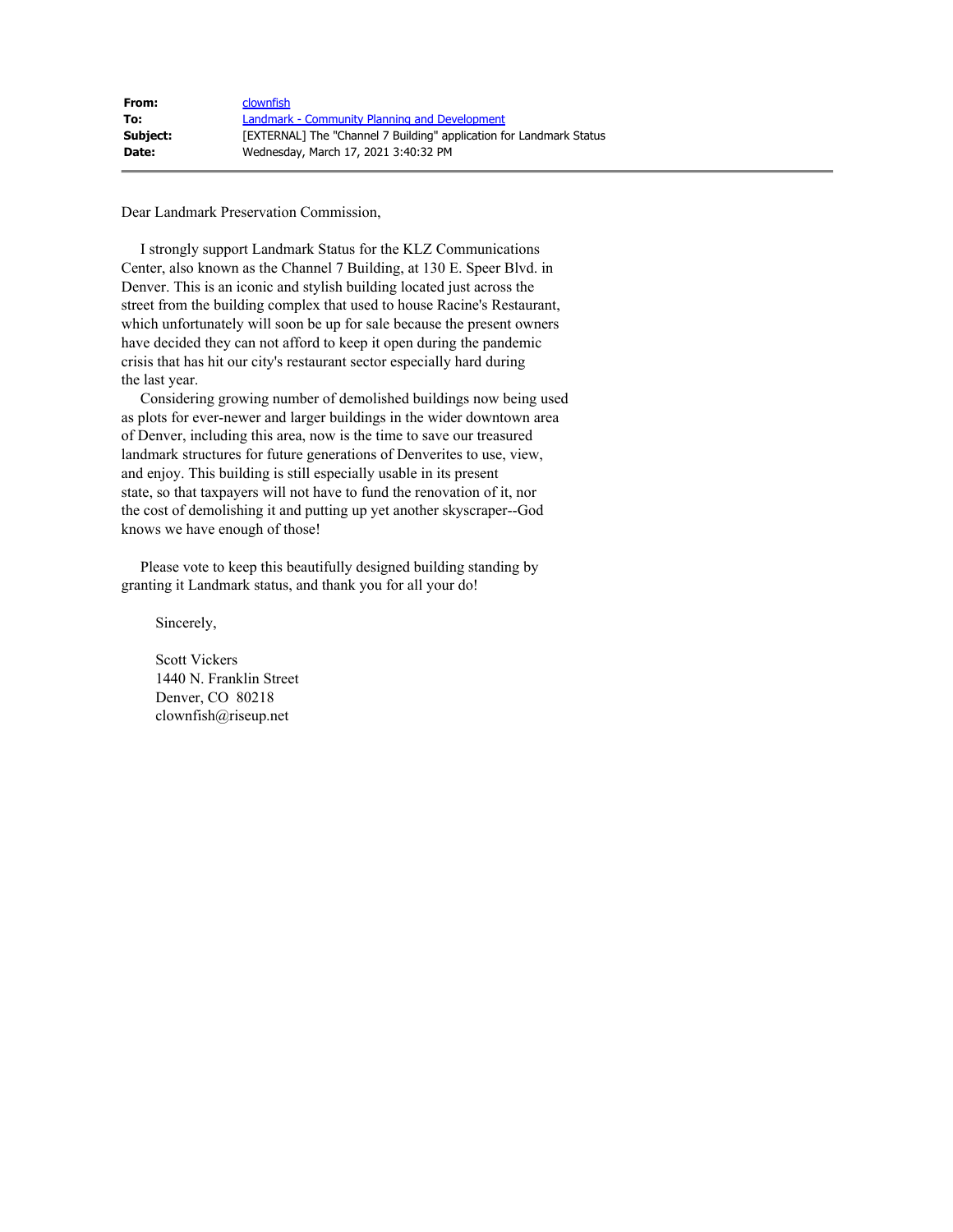| From:    | clownfish                                                           |
|----------|---------------------------------------------------------------------|
| To:      | Landmark - Community Planning and Development                       |
| Subject: | [EXTERNAL] The "Channel 7 Building" application for Landmark Status |
| Date:    | Wednesday, March 17, 2021 3:40:32 PM                                |

Dear Landmark Preservation Commission,

 I strongly support Landmark Status for the KLZ Communications Center, also known as the Channel 7 Building, at 130 E. Speer Blvd. in Denver. This is an iconic and stylish building located just across the street from the building complex that used to house Racine's Restaurant, which unfortunately will soon be up for sale because the present owners have decided they can not afford to keep it open during the pandemic crisis that has hit our city's restaurant sector especially hard during the last year.

 Considering growing number of demolished buildings now being used as plots for ever-newer and larger buildings in the wider downtown area of Denver, including this area, now is the time to save our treasured landmark structures for future generations of Denverites to use, view, and enjoy. This building is still especially usable in its present state, so that taxpayers will not have to fund the renovation of it, nor the cost of demolishing it and putting up yet another skyscraper--God knows we have enough of those!

 Please vote to keep this beautifully designed building standing by granting it Landmark status, and thank you for all your do!

Sincerely,

 Scott Vickers 1440 N. Franklin Street Denver, CO 80218 clownfish@riseup.net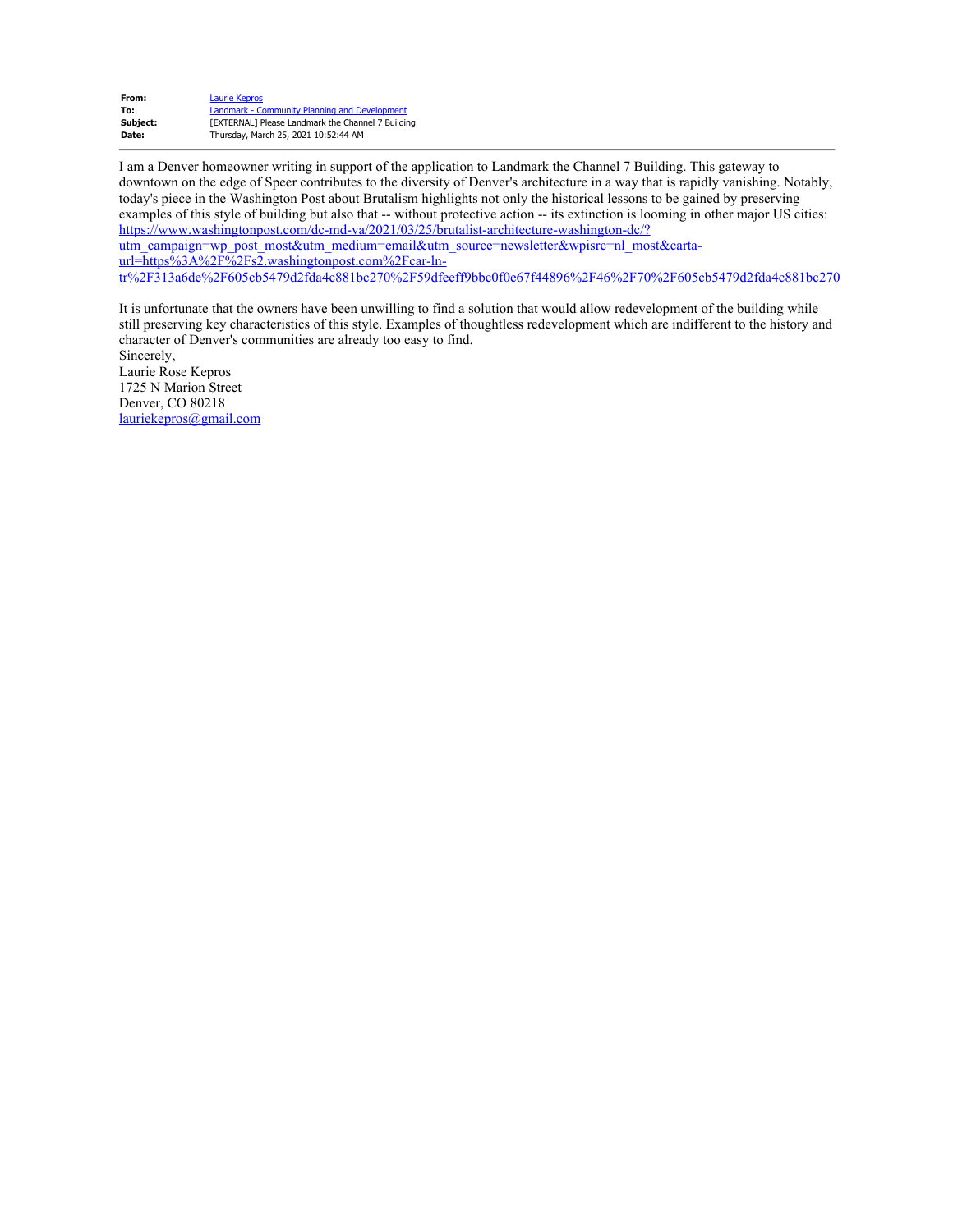| Laurie Kepros                                            |
|----------------------------------------------------------|
| Landmark - Community Planning and Development            |
| <b>TEXTERNAL1 Please Landmark the Channel 7 Building</b> |
| Thursday, March 25, 2021 10:52:44 AM                     |
|                                                          |

I am a Denver homeowner writing in support of the application to Landmark the Channel 7 Building. This gateway to downtown on the edge of Speer contributes to the diversity of Denver's architecture in a way that is rapidly vanishing. Notably, today's piece in the Washington Post about Brutalism highlights not only the historical lessons to be gained by preserving examples of this style of building but also that -- without protective action -- its extinction is looming in other major US cities: [https://www.washingtonpost.com/dc-md-va/2021/03/25/brutalist-architecture-washington-dc/?](https://urldefense.com/v3/__https://www.washingtonpost.com/dc-md-va/2021/03/25/brutalist-architecture-washington-dc/?utm_campaign=wp_post_most&utm_medium=email&utm_source=newsletter&wpisrc=nl_most&carta-url=https*3A*2F*2Fs2.washingtonpost.com*2Fcar-ln-tr*2F313a6de*2F605cb5479d2fda4c881bc270*2F59dfeeff9bbc0f0e67f44896*2F46*2F70*2F605cb5479d2fda4c881bc270__;JSUlJSUlJSUlJQ!!M87Ej6RJKlw!ETdGeBJEjFeMpGUpzdc9Ws_ox3EM4YzFoa0_P9xvA8YtY9ImEeWBamG6kHF0dDHl1A$) [utm\\_campaign=wp\\_post\\_most&utm\\_medium=email&utm\\_source=newsletter&wpisrc=nl\\_most&carta](https://urldefense.com/v3/__https://www.washingtonpost.com/dc-md-va/2021/03/25/brutalist-architecture-washington-dc/?utm_campaign=wp_post_most&utm_medium=email&utm_source=newsletter&wpisrc=nl_most&carta-url=https*3A*2F*2Fs2.washingtonpost.com*2Fcar-ln-tr*2F313a6de*2F605cb5479d2fda4c881bc270*2F59dfeeff9bbc0f0e67f44896*2F46*2F70*2F605cb5479d2fda4c881bc270__;JSUlJSUlJSUlJQ!!M87Ej6RJKlw!ETdGeBJEjFeMpGUpzdc9Ws_ox3EM4YzFoa0_P9xvA8YtY9ImEeWBamG6kHF0dDHl1A$)[url=https%3A%2F%2Fs2.washingtonpost.com%2Fcar-ln](https://urldefense.com/v3/__https://www.washingtonpost.com/dc-md-va/2021/03/25/brutalist-architecture-washington-dc/?utm_campaign=wp_post_most&utm_medium=email&utm_source=newsletter&wpisrc=nl_most&carta-url=https*3A*2F*2Fs2.washingtonpost.com*2Fcar-ln-tr*2F313a6de*2F605cb5479d2fda4c881bc270*2F59dfeeff9bbc0f0e67f44896*2F46*2F70*2F605cb5479d2fda4c881bc270__;JSUlJSUlJSUlJQ!!M87Ej6RJKlw!ETdGeBJEjFeMpGUpzdc9Ws_ox3EM4YzFoa0_P9xvA8YtY9ImEeWBamG6kHF0dDHl1A$)[tr%2F313a6de%2F605cb5479d2fda4c881bc270%2F59dfeeff9bbc0f0e67f44896%2F46%2F70%2F605cb5479d2fda4c881bc270](https://urldefense.com/v3/__https://www.washingtonpost.com/dc-md-va/2021/03/25/brutalist-architecture-washington-dc/?utm_campaign=wp_post_most&utm_medium=email&utm_source=newsletter&wpisrc=nl_most&carta-url=https*3A*2F*2Fs2.washingtonpost.com*2Fcar-ln-tr*2F313a6de*2F605cb5479d2fda4c881bc270*2F59dfeeff9bbc0f0e67f44896*2F46*2F70*2F605cb5479d2fda4c881bc270__;JSUlJSUlJSUlJQ!!M87Ej6RJKlw!ETdGeBJEjFeMpGUpzdc9Ws_ox3EM4YzFoa0_P9xvA8YtY9ImEeWBamG6kHF0dDHl1A$)

It is unfortunate that the owners have been unwilling to find a solution that would allow redevelopment of the building while still preserving key characteristics of this style. Examples of thoughtless redevelopment which are indifferent to the history and character of Denver's communities are already too easy to find.

Sincerely, Laurie Rose Kepros 1725 N Marion Street Denver, CO 80218 [lauriekepros@gmail.com](mailto:lauriekepros@gmail.com)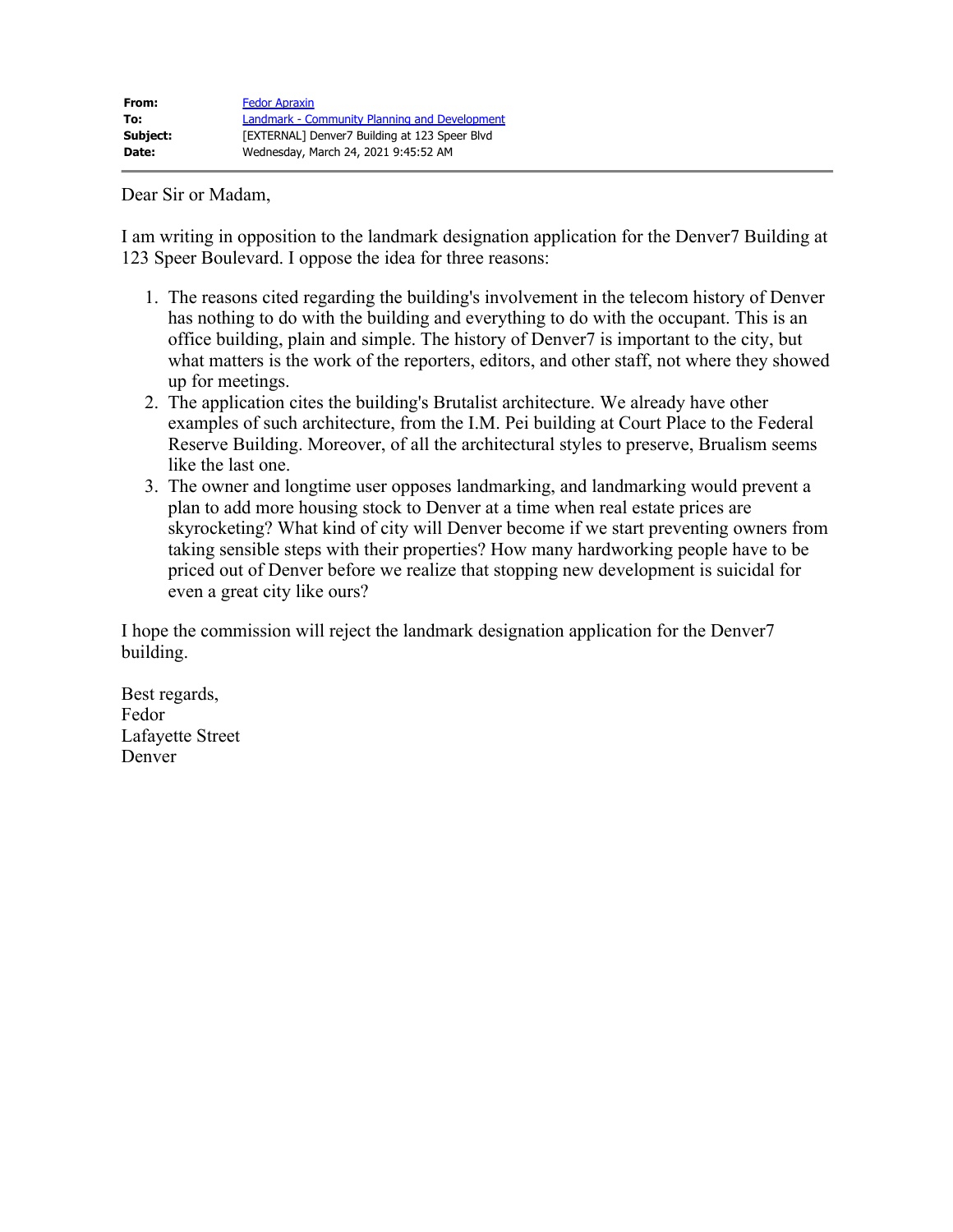Dear Sir or Madam,

I am writing in opposition to the landmark designation application for the Denver7 Building at 123 Speer Boulevard. I oppose the idea for three reasons:

- 1. The reasons cited regarding the building's involvement in the telecom history of Denver has nothing to do with the building and everything to do with the occupant. This is an office building, plain and simple. The history of Denver7 is important to the city, but what matters is the work of the reporters, editors, and other staff, not where they showed up for meetings.
- 2. The application cites the building's Brutalist architecture. We already have other examples of such architecture, from the I.M. Pei building at Court Place to the Federal Reserve Building. Moreover, of all the architectural styles to preserve, Brualism seems like the last one.
- 3. The owner and longtime user opposes landmarking, and landmarking would prevent a plan to add more housing stock to Denver at a time when real estate prices are skyrocketing? What kind of city will Denver become if we start preventing owners from taking sensible steps with their properties? How many hardworking people have to be priced out of Denver before we realize that stopping new development is suicidal for even a great city like ours?

I hope the commission will reject the landmark designation application for the Denver7 building.

Best regards, Fedor Lafayette Street Denver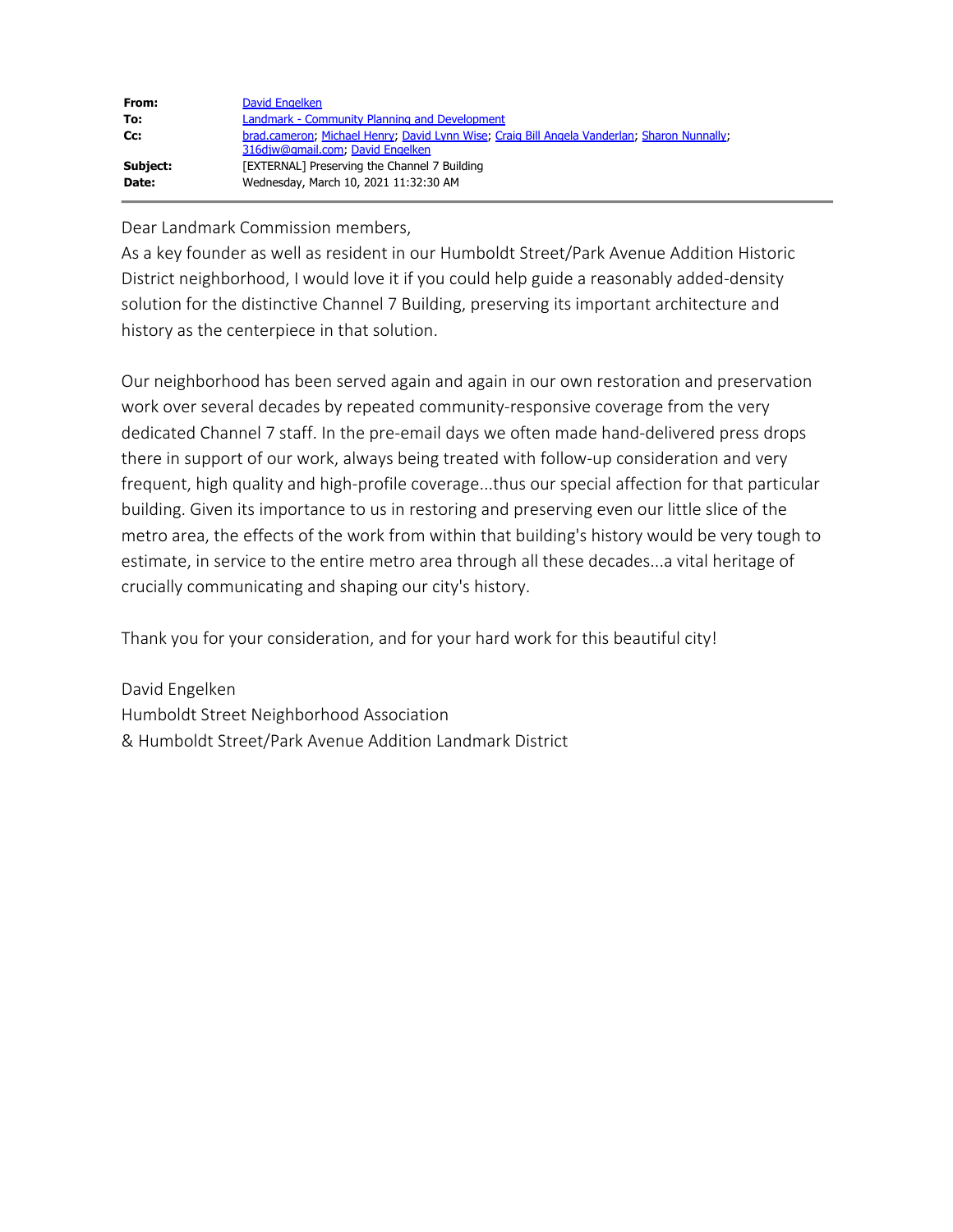| From:    | David Engelken                                                                              |
|----------|---------------------------------------------------------------------------------------------|
| To:      | Landmark - Community Planning and Development                                               |
| Cc:      | brad.cameron; Michael Henry; David Lynn Wise; Craig Bill Angela Vanderlan; Sharon Nunnally; |
|          | 316djw@gmail.com, David Engelken                                                            |
| Subject: | [EXTERNAL] Preserving the Channel 7 Building                                                |
| Date:    | Wednesday, March 10, 2021 11:32:30 AM                                                       |

Dear Landmark Commission members,

As a key founder as well as resident in our Humboldt Street/Park Avenue Addition Historic District neighborhood, I would love it if you could help guide a reasonably added-density solution for the distinctive Channel 7 Building, preserving its important architecture and history as the centerpiece in that solution.

Our neighborhood has been served again and again in our own restoration and preservation work over several decades by repeated community-responsive coverage from the very dedicated Channel 7 staff. In the pre-email days we often made hand-delivered press drops there in support of our work, always being treated with follow-up consideration and very frequent, high quality and high-profile coverage...thus our special affection for that particular building. Given its importance to us in restoring and preserving even our little slice of the metro area, the effects of the work from within that building's history would be very tough to estimate, in service to the entire metro area through all these decades...a vital heritage of crucially communicating and shaping our city's history.

Thank you for your consideration, and for your hard work for this beautiful city!

David Engelken Humboldt Street Neighborhood Association & Humboldt Street/Park Avenue Addition Landmark District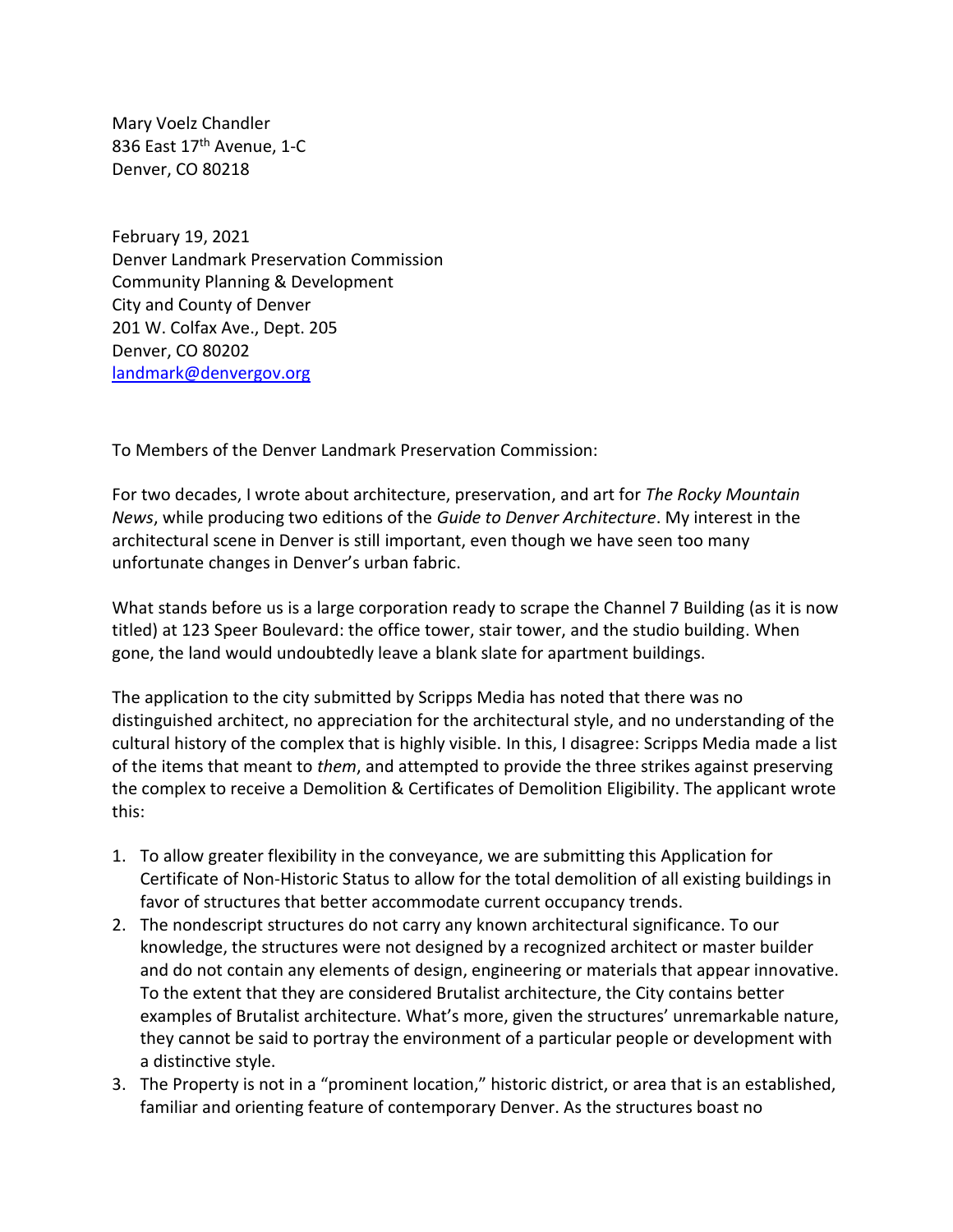Mary Voelz Chandler 836 East 17<sup>th</sup> Avenue, 1-C Denver, CO 80218

February 19, 2021 Denver Landmark Preservation Commission Community Planning & Development City and County of Denver 201 W. Colfax Ave., Dept. 205 Denver, CO 80202 [landmark@denvergov.org](mailto:landmark@denvergov.org)

To Members of the Denver Landmark Preservation Commission:

For two decades, I wrote about architecture, preservation, and art for *The Rocky Mountain News*, while producing two editions of the *Guide to Denver Architecture*. My interest in the architectural scene in Denver is still important, even though we have seen too many unfortunate changes in Denver's urban fabric.

What stands before us is a large corporation ready to scrape the Channel 7 Building (as it is now titled) at 123 Speer Boulevard: the office tower, stair tower, and the studio building. When gone, the land would undoubtedly leave a blank slate for apartment buildings.

The application to the city submitted by Scripps Media has noted that there was no distinguished architect, no appreciation for the architectural style, and no understanding of the cultural history of the complex that is highly visible. In this, I disagree: Scripps Media made a list of the items that meant to *them*, and attempted to provide the three strikes against preserving the complex to receive a Demolition & Certificates of Demolition Eligibility. The applicant wrote this:

- 1. To allow greater flexibility in the conveyance, we are submitting this Application for Certificate of Non-Historic Status to allow for the total demolition of all existing buildings in favor of structures that better accommodate current occupancy trends.
- 2. The nondescript structures do not carry any known architectural significance. To our knowledge, the structures were not designed by a recognized architect or master builder and do not contain any elements of design, engineering or materials that appear innovative. To the extent that they are considered Brutalist architecture, the City contains better examples of Brutalist architecture. What's more, given the structures' unremarkable nature, they cannot be said to portray the environment of a particular people or development with a distinctive style.
- 3. The Property is not in a "prominent location," historic district, or area that is an established, familiar and orienting feature of contemporary Denver. As the structures boast no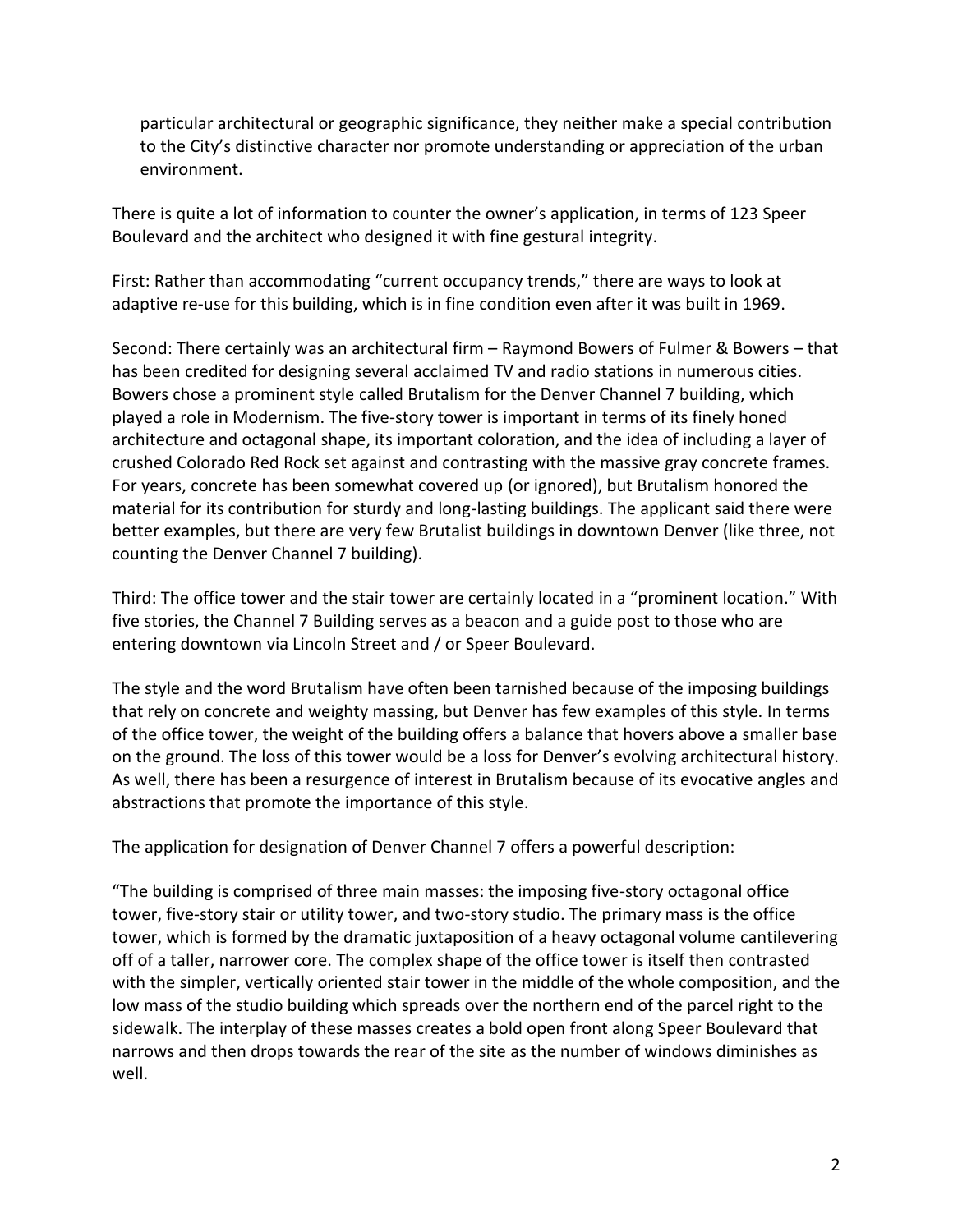particular architectural or geographic significance, they neither make a special contribution to the City's distinctive character nor promote understanding or appreciation of the urban environment.

There is quite a lot of information to counter the owner's application, in terms of 123 Speer Boulevard and the architect who designed it with fine gestural integrity.

First: Rather than accommodating "current occupancy trends," there are ways to look at adaptive re-use for this building, which is in fine condition even after it was built in 1969.

Second: There certainly was an architectural firm – Raymond Bowers of Fulmer & Bowers – that has been credited for designing several acclaimed TV and radio stations in numerous cities. Bowers chose a prominent style called Brutalism for the Denver Channel 7 building, which played a role in Modernism. The five-story tower is important in terms of its finely honed architecture and octagonal shape, its important coloration, and the idea of including a layer of crushed Colorado Red Rock set against and contrasting with the massive gray concrete frames. For years, concrete has been somewhat covered up (or ignored), but Brutalism honored the material for its contribution for sturdy and long-lasting buildings. The applicant said there were better examples, but there are very few Brutalist buildings in downtown Denver (like three, not counting the Denver Channel 7 building).

Third: The office tower and the stair tower are certainly located in a "prominent location." With five stories, the Channel 7 Building serves as a beacon and a guide post to those who are entering downtown via Lincoln Street and / or Speer Boulevard.

The style and the word Brutalism have often been tarnished because of the imposing buildings that rely on concrete and weighty massing, but Denver has few examples of this style. In terms of the office tower, the weight of the building offers a balance that hovers above a smaller base on the ground. The loss of this tower would be a loss for Denver's evolving architectural history. As well, there has been a resurgence of interest in Brutalism because of its evocative angles and abstractions that promote the importance of this style.

The application for designation of Denver Channel 7 offers a powerful description:

"The building is comprised of three main masses: the imposing five-story octagonal office tower, five-story stair or utility tower, and two-story studio. The primary mass is the office tower, which is formed by the dramatic juxtaposition of a heavy octagonal volume cantilevering off of a taller, narrower core. The complex shape of the office tower is itself then contrasted with the simpler, vertically oriented stair tower in the middle of the whole composition, and the low mass of the studio building which spreads over the northern end of the parcel right to the sidewalk. The interplay of these masses creates a bold open front along Speer Boulevard that narrows and then drops towards the rear of the site as the number of windows diminishes as well.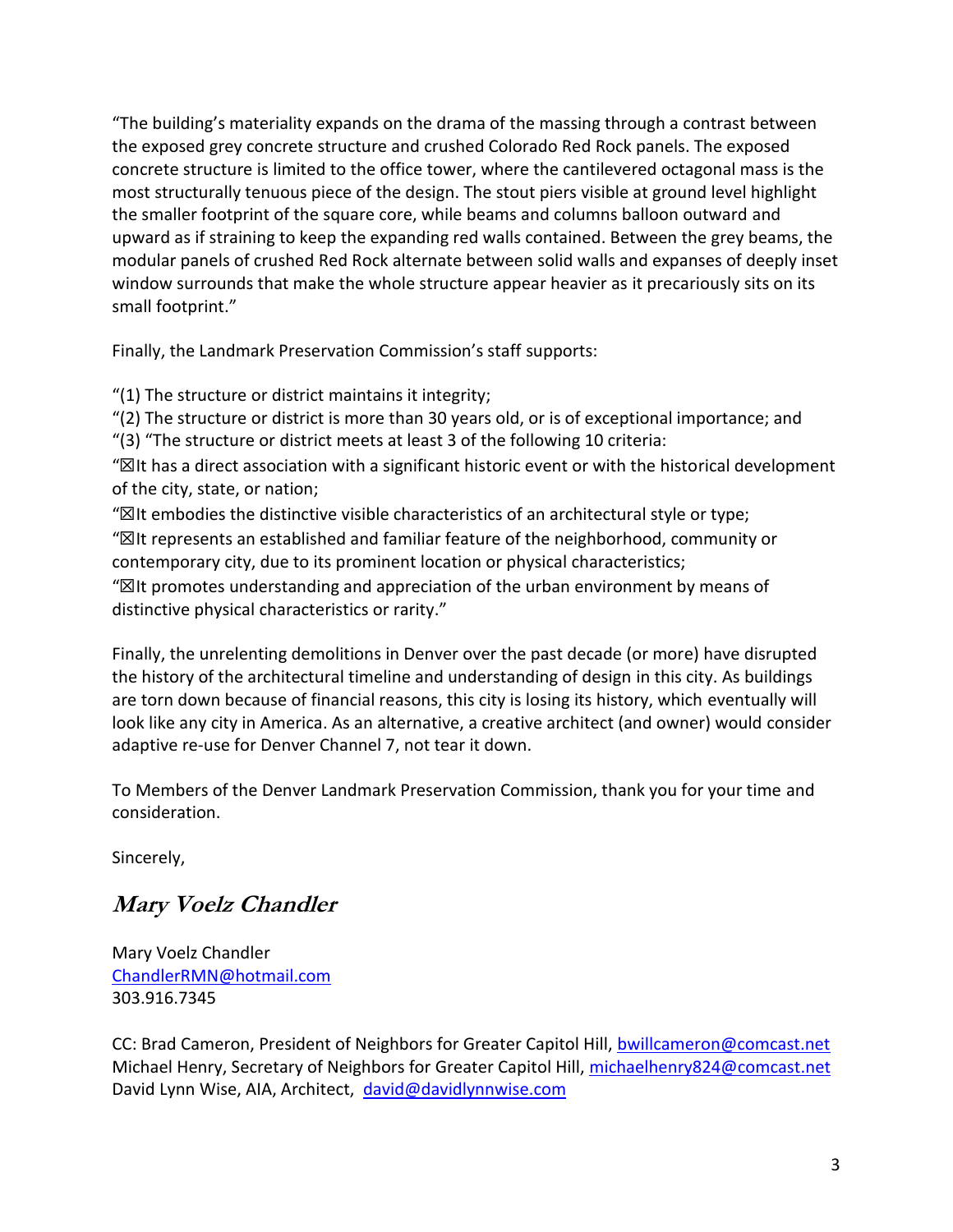"The building's materiality expands on the drama of the massing through a contrast between the exposed grey concrete structure and crushed Colorado Red Rock panels. The exposed concrete structure is limited to the office tower, where the cantilevered octagonal mass is the most structurally tenuous piece of the design. The stout piers visible at ground level highlight the smaller footprint of the square core, while beams and columns balloon outward and upward as if straining to keep the expanding red walls contained. Between the grey beams, the modular panels of crushed Red Rock alternate between solid walls and expanses of deeply inset window surrounds that make the whole structure appear heavier as it precariously sits on its small footprint."

Finally, the Landmark Preservation Commission's staff supports:

"(1) The structure or district maintains it integrity;

"(2) The structure or district is more than 30 years old, or is of exceptional importance; and

"(3) "The structure or district meets at least 3 of the following 10 criteria:

"☒It has a direct association with a significant historic event or with the historical development of the city, state, or nation;

" $\boxtimes$ It embodies the distinctive visible characteristics of an architectural style or type; "☒It represents an established and familiar feature of the neighborhood, community or contemporary city, due to its prominent location or physical characteristics;

" $\mathbb Z$ It promotes understanding and appreciation of the urban environment by means of distinctive physical characteristics or rarity."

Finally, the unrelenting demolitions in Denver over the past decade (or more) have disrupted the history of the architectural timeline and understanding of design in this city. As buildings are torn down because of financial reasons, this city is losing its history, which eventually will look like any city in America. As an alternative, a creative architect (and owner) would consider adaptive re-use for Denver Channel 7, not tear it down.

To Members of the Denver Landmark Preservation Commission, thank you for your time and consideration.

Sincerely,

# **Mary Voelz Chandler**

Mary Voelz Chandler [ChandlerRMN@hotmail.com](mailto:ChandlerRMN@hotmail.com) 303.916.7345

CC: Brad Cameron, President of Neighbors for Greater Capitol Hill, [bwillcameron@comcast.net](mailto:bwillcameron@comcast.net) Michael Henry, Secretary of Neighbors for Greater Capitol Hill, [michaelhenry824@comcast.net](mailto:michaelhenry824@comcast.net) David Lynn Wise, AIA, Architect, [david@davidlynnwise.com](mailto:david@davidlynnwise.com)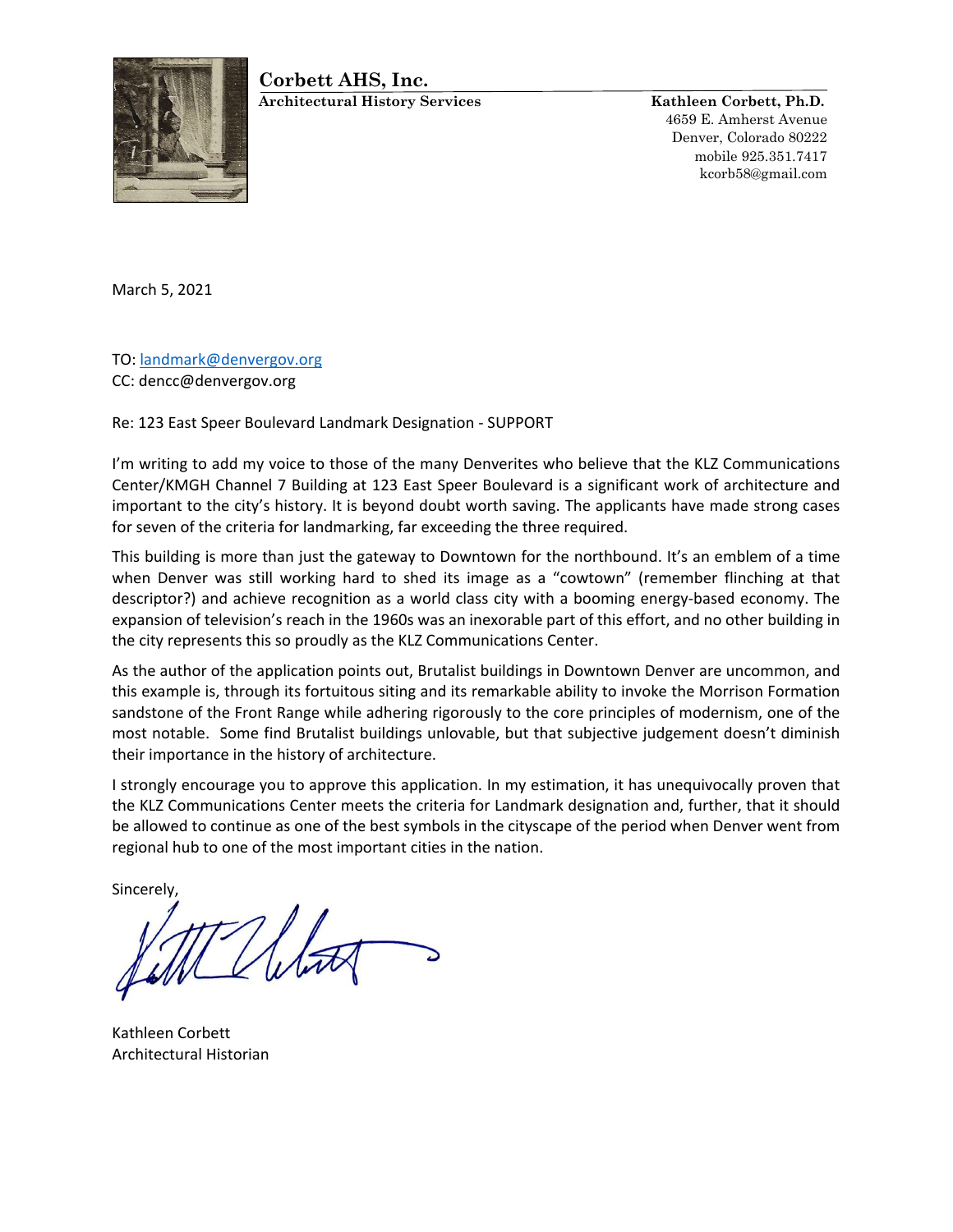# **Corbett AHS, Inc.**



**Architectural History Services Kathleen Corbett, Ph.D.**

4659 E. Amherst Avenue Denver, Colorado 80222 mobile 925.351.7417 kcorb58@gmail.com

March 5, 2021

TO: [landmark@denvergov.org](mailto:landmark@denvergov.org) CC: dencc@denvergov.org

Re: 123 East Speer Boulevard Landmark Designation - SUPPORT

I'm writing to add my voice to those of the many Denverites who believe that the KLZ Communications Center/KMGH Channel 7 Building at 123 East Speer Boulevard is a significant work of architecture and important to the city's history. It is beyond doubt worth saving. The applicants have made strong cases for seven of the criteria for landmarking, far exceeding the three required.

This building is more than just the gateway to Downtown for the northbound. It's an emblem of a time when Denver was still working hard to shed its image as a "cowtown" (remember flinching at that descriptor?) and achieve recognition as a world class city with a booming energy-based economy. The expansion of television's reach in the 1960s was an inexorable part of this effort, and no other building in the city represents this so proudly as the KLZ Communications Center.

As the author of the application points out, Brutalist buildings in Downtown Denver are uncommon, and this example is, through its fortuitous siting and its remarkable ability to invoke the Morrison Formation sandstone of the Front Range while adhering rigorously to the core principles of modernism, one of the most notable. Some find Brutalist buildings unlovable, but that subjective judgement doesn't diminish their importance in the history of architecture.

I strongly encourage you to approve this application. In my estimation, it has unequivocally proven that the KLZ Communications Center meets the criteria for Landmark designation and, further, that it should be allowed to continue as one of the best symbols in the cityscape of the period when Denver went from regional hub to one of the most important cities in the nation.

Sincerely,

Kathleen Corbett Architectural Historian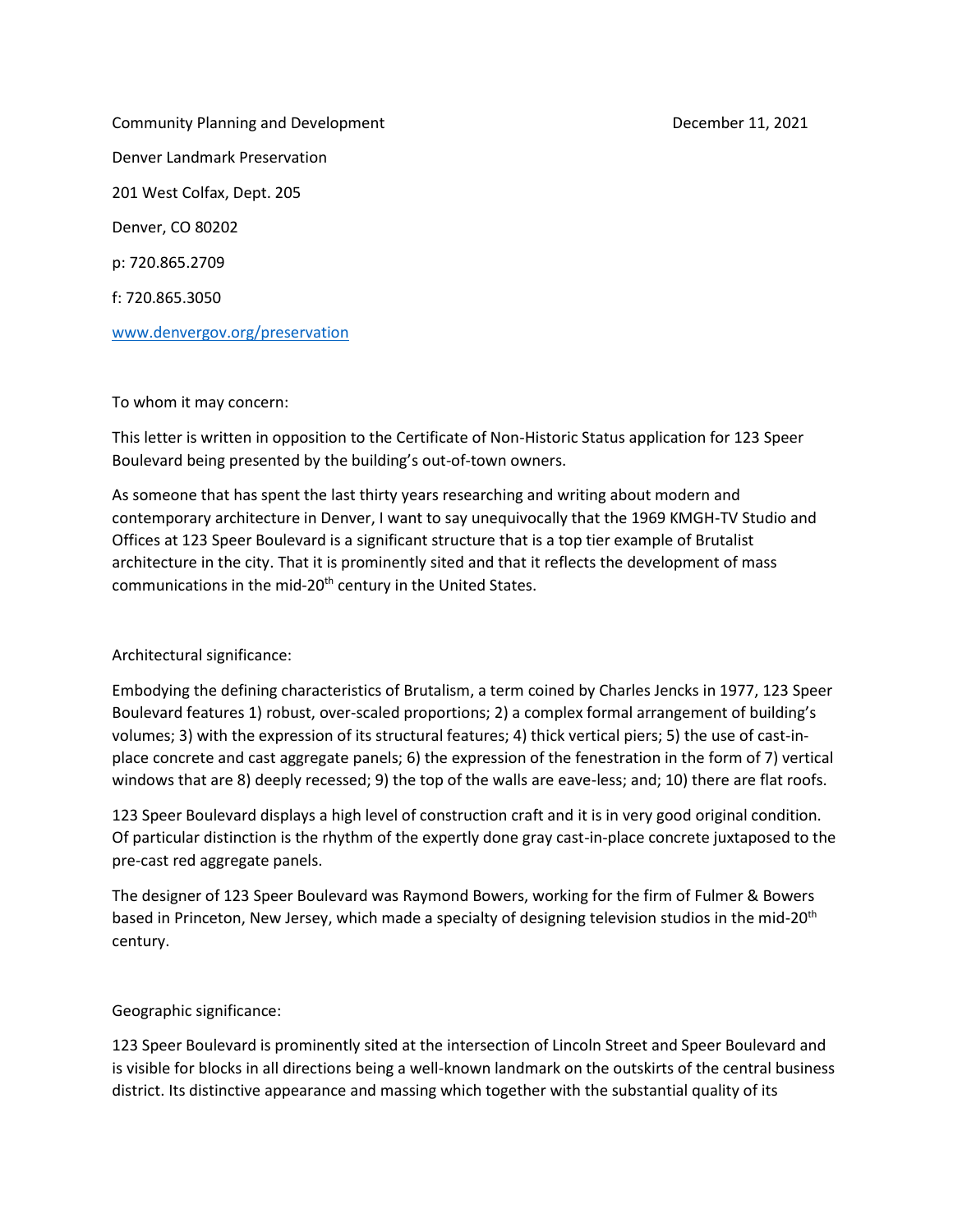Community Planning and Development December 11, 2021 Denver Landmark Preservation 201 West Colfax, Dept. 205 Denver, CO 80202 p: 720.865.2709 f: 720.865.3050

[www.denvergov.org/preservation](http://www.denvergov.org/preservation)

#### To whom it may concern:

This letter is written in opposition to the Certificate of Non-Historic Status application for 123 Speer Boulevard being presented by the building's out-of-town owners.

As someone that has spent the last thirty years researching and writing about modern and contemporary architecture in Denver, I want to say unequivocally that the 1969 KMGH-TV Studio and Offices at 123 Speer Boulevard is a significant structure that is a top tier example of Brutalist architecture in the city. That it is prominently sited and that it reflects the development of mass communications in the mid-20<sup>th</sup> century in the United States.

### Architectural significance:

Embodying the defining characteristics of Brutalism, a term coined by Charles Jencks in 1977, 123 Speer Boulevard features 1) robust, over-scaled proportions; 2) a complex formal arrangement of building's volumes; 3) with the expression of its structural features; 4) thick vertical piers; 5) the use of cast-inplace concrete and cast aggregate panels; 6) the expression of the fenestration in the form of 7) vertical windows that are 8) deeply recessed; 9) the top of the walls are eave-less; and; 10) there are flat roofs.

123 Speer Boulevard displays a high level of construction craft and it is in very good original condition. Of particular distinction is the rhythm of the expertly done gray cast-in-place concrete juxtaposed to the pre-cast red aggregate panels.

The designer of 123 Speer Boulevard was Raymond Bowers, working for the firm of Fulmer & Bowers based in Princeton, New Jersey, which made a specialty of designing television studios in the mid-20th century.

#### Geographic significance:

123 Speer Boulevard is prominently sited at the intersection of Lincoln Street and Speer Boulevard and is visible for blocks in all directions being a well-known landmark on the outskirts of the central business district. Its distinctive appearance and massing which together with the substantial quality of its